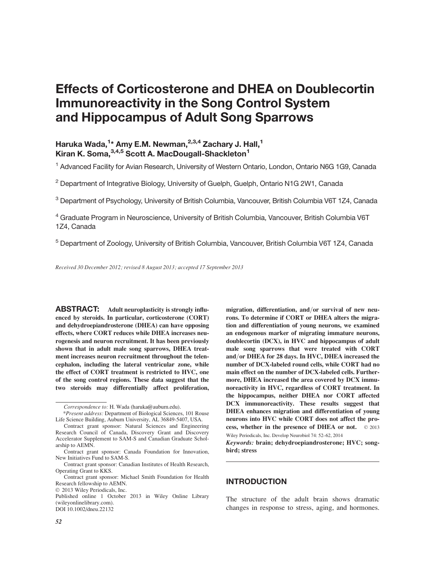# Effects of Corticosterone and DHEA on Doublecortin Immunoreactivity in the Song Control System and Hippocampus of Adult Song Sparrows

## Haruka Wada,<sup>1</sup>\* Amy E.M. Newman,<sup>2,3,4</sup> Zachary J. Hall,<sup>1</sup> Kiran K. Soma, 3,4,5 Scott A. MacDougall-Shackleton<sup>1</sup>

<sup>1</sup> Advanced Facility for Avian Research, University of Western Ontario, London, Ontario N6G 1G9, Canada

<sup>2</sup> Department of Integrative Biology, University of Guelph, Guelph, Ontario N1G 2W1, Canada

<sup>3</sup> Department of Psychology, University of British Columbia, Vancouver, British Columbia V6T 1Z4, Canada

<sup>4</sup> Graduate Program in Neuroscience, University of British Columbia, Vancouver, British Columbia V6T 1Z4, Canada

<sup>5</sup> Department of Zoology, University of British Columbia, Vancouver, British Columbia V6T 1Z4, Canada

Received 30 December 2012; revised 8 August 2013; accepted 17 September 2013

ABSTRACT: Adult neuroplasticity is strongly influenced by steroids. In particular, corticosterone (CORT) and dehydroepiandrosterone (DHEA) can have opposing effects, where CORT reduces while DHEA increases neurogenesis and neuron recruitment. It has been previously shown that in adult male song sparrows, DHEA treatment increases neuron recruitment throughout the telencephalon, including the lateral ventricular zone, while the effect of CORT treatment is restricted to HVC, one of the song control regions. These data suggest that the two steroids may differentially affect proliferation,

migration, differentiation, and/or survival of new neurons. To determine if CORT or DHEA alters the migration and differentiation of young neurons, we examined an endogenous marker of migrating immature neurons, doublecortin (DCX), in HVC and hippocampus of adult male song sparrows that were treated with CORT and/or DHEA for 28 days. In HVC, DHEA increased the number of DCX-labeled round cells, while CORT had no main effect on the number of DCX-labeled cells. Furthermore, DHEA increased the area covered by DCX immunoreactivity in HVC, regardless of CORT treatment. In the hippocampus, neither DHEA nor CORT affected DCX immunoreactivity. These results suggest that DHEA enhances migration and differentiation of young neurons into HVC while CORT does not affect the process, whether in the presence of DHEA or not.  $\odot$  2013 Wiley Periodicals, Inc. Develop Neurobiol 74: 52–62, 2014

Keywords: brain; dehydroepiandrosterone; HVC; songbird; stress

### INTRODUCTION

The structure of the adult brain shows dramatic changes in response to stress, aging, and hormones.

Correspondence to: H. Wada (haruka@auburn.edu).

<sup>\*</sup>Present address: Department of Biological Sciences, 101 Rouse Life Science Building, Auburn University, AL 36849-5407, USA.

Contract grant sponsor: Natural Sciences and Engineering Research Council of Canada, Discovery Grant and Discovery Accelerator Supplement to SAM-S and Canadian Graduate Scholarship to AEMN.

Contract grant sponsor: Canada Foundation for Innovation, New Initiatives Fund to SAM-S.

Contract grant sponsor: Canadian Institutes of Health Research, Operating Grant to KKS.

Contract grant sponsor: Michael Smith Foundation for Health Research fellowship to AEMN.

 $©$  2013 Wiley Periodicals, Inc.

Published online 1 October 2013 in Wiley Online Library (wileyonlinelibrary.com). DOI 10.1002/dneu.22132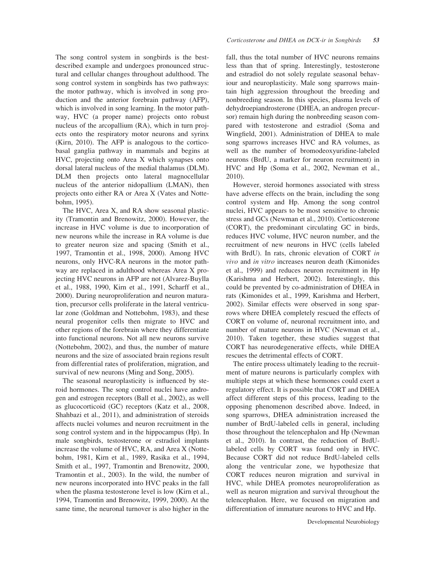The song control system in songbirds is the bestdescribed example and undergoes pronounced structural and cellular changes throughout adulthood. The song control system in songbirds has two pathways: the motor pathway, which is involved in song production and the anterior forebrain pathway (AFP), which is involved in song learning. In the motor pathway, HVC (a proper name) projects onto robust nucleus of the arcopallium (RA), which in turn projects onto the respiratory motor neurons and syrinx (Kirn, 2010). The AFP is analogous to the corticobasal ganglia pathway in mammals and begins at HVC, projecting onto Area X which synapses onto dorsal lateral nucleus of the medial thalamus (DLM). DLM then projects onto lateral magnocellular nucleus of the anterior nidopallium (LMAN), then projects onto either RA or Area X (Vates and Nottebohm, 1995).

The HVC, Area X, and RA show seasonal plasticity (Tramontin and Brenowitz, 2000). However, the increase in HVC volume is due to incorporation of new neurons while the increase in RA volume is due to greater neuron size and spacing (Smith et al., 1997, Tramontin et al., 1998, 2000). Among HVC neurons, only HVC-RA neurons in the motor pathway are replaced in adulthood whereas Area X projecting HVC neurons in AFP are not (Alvarez-Buylla et al., 1988, 1990, Kirn et al., 1991, Scharff et al., 2000). During neuroproliferation and neuron maturation, precursor cells proliferate in the lateral ventricular zone (Goldman and Nottebohm, 1983), and these neural progenitor cells then migrate to HVC and other regions of the forebrain where they differentiate into functional neurons. Not all new neurons survive (Nottebohm, 2002), and thus, the number of mature neurons and the size of associated brain regions result from differential rates of proliferation, migration, and survival of new neurons (Ming and Song, 2005).

The seasonal neuroplasticity is influenced by steroid hormones. The song control nuclei have androgen and estrogen receptors (Ball et al., 2002), as well as glucocorticoid (GC) receptors (Katz et al., 2008, Shahbazi et al., 2011), and administration of steroids affects nuclei volumes and neuron recruitment in the song control system and in the hippocampus (Hp). In male songbirds, testosterone or estradiol implants increase the volume of HVC, RA, and Area X (Nottebohm, 1981, Kirn et al., 1989, Rasika et al., 1994, Smith et al., 1997, Tramontin and Brenowitz, 2000, Tramontin et al., 2003). In the wild, the number of new neurons incorporated into HVC peaks in the fall when the plasma testosterone level is low (Kirn et al., 1994, Tramontin and Brenowitz, 1999, 2000). At the same time, the neuronal turnover is also higher in the

fall, thus the total number of HVC neurons remains less than that of spring. Interestingly, testosterone and estradiol do not solely regulate seasonal behaviour and neuroplasticity. Male song sparrows maintain high aggression throughout the breeding and nonbreeding season. In this species, plasma levels of dehydroepiandrosterone (DHEA, an androgen precursor) remain high during the nonbreeding season compared with testosterone and estradiol (Soma and Wingfield, 2001). Administration of DHEA to male song sparrows increases HVC and RA volumes, as well as the number of bromodeoxyuridine-labeled neurons (BrdU, a marker for neuron recruitment) in HVC and Hp (Soma et al., 2002, Newman et al., 2010).

However, steroid hormones associated with stress have adverse effects on the brain, including the song control system and Hp. Among the song control nuclei, HVC appears to be most sensitive to chronic stress and GCs (Newman et al., 2010). Corticosterone (CORT), the predominant circulating GC in birds, reduces HVC volume, HVC neuron number, and the recruitment of new neurons in HVC (cells labeled with BrdU). In rats, chronic elevation of CORT in vivo and in vitro increases neuron death (Kimonides et al., 1999) and reduces neuron recruitment in Hp (Karishma and Herbert, 2002). Interestingly, this could be prevented by co-administration of DHEA in rats (Kimonides et al., 1999, Karishma and Herbert, 2002). Similar effects were observed in song sparrows where DHEA completely rescued the effects of CORT on volume of, neuronal recruitment into, and number of mature neurons in HVC (Newman et al., 2010). Taken together, these studies suggest that CORT has neurodegenerative effects, while DHEA rescues the detrimental effects of CORT.

The entire process ultimately leading to the recruitment of mature neurons is particularly complex with multiple steps at which these hormones could exert a regulatory effect. It is possible that CORT and DHEA affect different steps of this process, leading to the opposing phenomenon described above. Indeed, in song sparrows, DHEA administration increased the number of BrdU-labeled cells in general, including those throughout the telencephalon and Hp (Newman et al., 2010). In contrast, the reduction of BrdUlabeled cells by CORT was found only in HVC. Because CORT did not reduce BrdU-labeled cells along the ventricular zone, we hypothesize that CORT reduces neuron migration and survival in HVC, while DHEA promotes neuroproliferation as well as neuron migration and survival throughout the telencephalon. Here, we focused on migration and differentiation of immature neurons to HVC and Hp.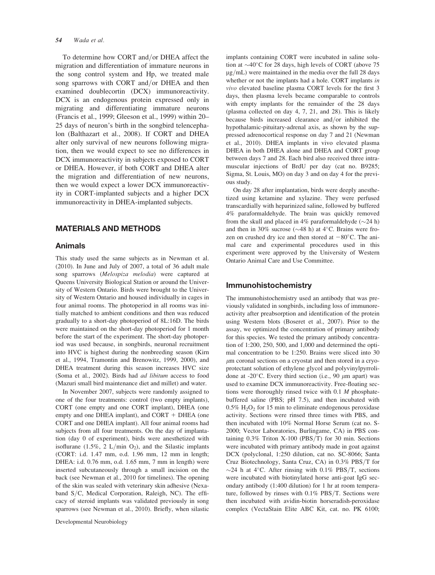#### 54 Wada et al.

To determine how CORT and/or DHEA affect the migration and differentiation of immature neurons in the song control system and Hp, we treated male song sparrows with CORT and/or DHEA and then examined doublecortin (DCX) immunoreactivity. DCX is an endogenous protein expressed only in migrating and differentiating immature neurons (Francis et al., 1999; Gleeson et al., 1999) within 20– 25 days of neuron's birth in the songbird telencephalon (Balthazart et al., 2008). If CORT and DHEA alter only survival of new neurons following migration, then we would expect to see no differences in DCX immunoreactivity in subjects exposed to CORT or DHEA. However, if both CORT and DHEA alter the migration and differentiation of new neurons, then we would expect a lower DCX immunoreactivity in CORT-implanted subjects and a higher DCX immunoreactivity in DHEA-implanted subjects.

#### MATERIALS AND METHODS

#### Animals

This study used the same subjects as in Newman et al. (2010). In June and July of 2007, a total of 36 adult male song sparrows (Melospiza melodia) were captured at Queens University Biological Station or around the University of Western Ontario. Birds were brought to the University of Western Ontario and housed individually in cages in four animal rooms. The photoperiod in all rooms was initially matched to ambient conditions and then was reduced gradually to a short-day photoperiod of 8L:16D. The birds were maintained on the short-day photoperiod for 1 month before the start of the experiment. The short-day photoperiod was used because, in songbirds, neuronal recruitment into HVC is highest during the nonbreeding season (Kirn et al., 1994, Tramontin and Brenowitz, 1999, 2000), and DHEA treatment during this season increases HVC size (Soma et al., 2002). Birds had ad libitum access to food (Mazuri small bird maintenance diet and millet) and water.

In November 2007, subjects were randomly assigned to one of the four treatments: control (two empty implants), CORT (one empty and one CORT implant), DHEA (one empty and one DHEA implant), and  $CORT + DHEA$  (one CORT and one DHEA implant). All four animal rooms had subjects from all four treatments. On the day of implantation (day 0 of experiment), birds were anesthetized with isoflurane (1.5%, 2 L/min  $O_2$ ), and the Silastic implants (CORT: i.d. 1.47 mm, o.d. 1.96 mm, 12 mm in length; DHEA: i.d. 0.76 mm, o.d. 1.65 mm, 7 mm in length) were inserted subcutaneously through a small incision on the back (see Newman et al., 2010 for timelines). The opening of the skin was sealed with veterinary skin adhesive (Nexaband  $S/C$ , Medical Corporation, Raleigh, NC). The efficacy of steroid implants was validated previously in song sparrows (see Newman et al., 2010). Briefly, when silastic

implants containing CORT were incubated in saline solution at  $\sim$  40°C for 28 days, high levels of CORT (above 75  $\mu$ g/mL) were maintained in the media over the full 28 days whether or not the implants had a hole. CORT implants in vivo elevated baseline plasma CORT levels for the first 3 days, then plasma levels became comparable to controls with empty implants for the remainder of the 28 days (plasma collected on day 4, 7, 21, and 28). This is likely because birds increased clearance and/or inhibited the hypothalamic-pituitary-adrenal axis, as shown by the suppressed adrenocortical response on day 7 and 21 (Newman et al., 2010). DHEA implants in vivo elevated plasma DHEA in both DHEA alone and DHEA and CORT group between days 7 and 28. Each bird also received three intramuscular injections of BrdU per day (cat no. B9285; Sigma, St. Louis, MO) on day 3 and on day 4 for the previous study.

On day 28 after implantation, birds were deeply anesthetized using ketamine and xylazine. They were perfused transcardially with heparinized saline, followed by buffered 4% paraformaldehyde. The brain was quickly removed from the skull and placed in  $4\%$  paraformaldehyde ( $\sim$ 24 h) and then in 30% sucrose ( $\sim$ 48 h) at 4°C. Brains were frozen on crushed dry ice and then stored at  $-80^{\circ}$ C. The animal care and experimental procedures used in this experiment were approved by the University of Western Ontario Animal Care and Use Committee.

#### Immunohistochemistry

The immunohistochemistry used an antibody that was previously validated in songbirds, including loss of immunoreactivity after preabsorption and identification of the protein using Western blots (Boseret et al., 2007). Prior to the assay, we optimized the concentration of primary antibody for this species. We tested the primary antibody concentration of 1:200, 250, 500, and 1,000 and determined the optimal concentration to be 1:250. Brains were sliced into 30  $\mu$ m coronal sections on a cryostat and then stored in a cryoprotectant solution of ethylene glycol and polyvinylpyrrolidone at -20 $^{\circ}$ C. Every third section (i.e., 90  $\mu$ m apart) was used to examine DCX immunoreactivity. Free-floating sections were thoroughly rinsed twice with 0.1 M phosphatebuffered saline (PBS; pH 7.5), and then incubated with  $0.5\%$  H<sub>2</sub>O<sub>2</sub> for 15 min to eliminate endogenous peroxidase activity. Sections were rinsed three times with PBS, and then incubated with 10% Normal Horse Serum (cat no. S-2000; Vector Laboratories, Burlingame, CA) in PBS containing  $0.3\%$  Triton X-100 (PBS/T) for 30 min. Sections were incubated with primary antibody made in goat against DCX (polyclonal, 1:250 dilution, cat no. SC-8066; Santa Cruz Biotechnology, Santa Cruz, CA) in  $0.3\%$  PBS/T for  $\sim$ 24 h at 4°C. After rinsing with 0.1% PBS/T, sections were incubated with biotinylated horse anti-goat IgG secondary antibody (1:400 dilution) for 1 hr at room temperature, followed by rinses with  $0.1\%$  PBS/T. Sections were then incubated with avidin-biotin horseradish-peroxidase complex (VectaStain Elite ABC Kit, cat. no. PK 6100;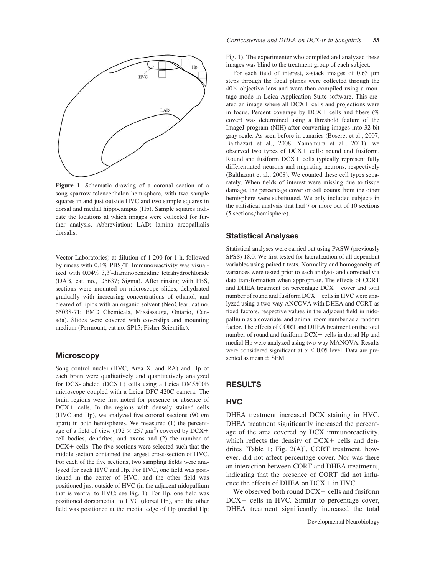

Figure 1 Schematic drawing of a coronal section of a song sparrow telencephalon hemisphere, with two sample squares in and just outside HVC and two sample squares in dorsal and medial hippocampus (Hp). Sample squares indicate the locations at which images were collected for further analysis. Abbreviation: LAD: lamina arcopallialis dorsalis.

Vector Laboratories) at dilution of 1:200 for 1 h, followed by rinses with  $0.1\%$  PBS/T. Immunoreactivity was visualized with 0.04% 3,3'-diaminobenzidine tetrahydrochloride (DAB, cat. no., D5637; Sigma). After rinsing with PBS, sections were mounted on microscope slides, dehydrated gradually with increasing concentrations of ethanol, and cleared of lipids with an organic solvent (NeoClear, cat no. 65038-71; EMD Chemicals, Mississauga, Ontario, Canada). Slides were covered with coverslips and mounting medium (Permount, cat no. SP15; Fisher Scientific).

#### **Microscopy**

Song control nuclei (HVC, Area X, and RA) and Hp of each brain were qualitatively and quantitatively analyzed for DCX-labeled (DCX+) cells using a Leica DM5500B microscope coupled with a Leica DFC 420C camera. The brain regions were first noted for presence or absence of  $DCX +$  cells. In the regions with densely stained cells (HVC and Hp), we analyzed five coronal sections (90  $\mu$ m apart) in both hemispheres. We measured (1) the percentage of a field of view ( $192 \times 257 \ \mu \text{m}^2$ ) covered by DCX+ cell bodies, dendrites, and axons and (2) the number of  $DCX +$  cells. The five sections were selected such that the middle section contained the largest cross-section of HVC. For each of the five sections, two sampling fields were analyzed for each HVC and Hp. For HVC, one field was positioned in the center of HVC, and the other field was positioned just outside of HVC (in the adjacent nidopallium that is ventral to HVC; see Fig. 1). For Hp, one field was positioned dorsomedial to HVC (dorsal Hp), and the other field was positioned at the medial edge of Hp (medial Hp; Fig. 1). The experimenter who compiled and analyzed these images was blind to the treatment group of each subject.

For each field of interest, z-stack images of  $0.63 \mu m$ steps through the focal planes were collected through the  $40\times$  objective lens and were then compiled using a montage mode in Leica Application Suite software. This created an image where all  $DCX +$  cells and projections were in focus. Percent coverage by  $DCX +$  cells and fibers (%) cover) was determined using a threshold feature of the ImageJ program (NIH) after converting images into 32-bit gray scale. As seen before in canaries (Boseret et al., 2007, Balthazart et al., 2008, Yamamura et al., 2011), we observed two types of  $DCX +$  cells: round and fusiform. Round and fusiform  $DCX +$  cells typically represent fully differentiated neurons and migrating neurons, respectively (Balthazart et al., 2008). We counted these cell types separately. When fields of interest were missing due to tissue damage, the percentage cover or cell counts from the other hemisphere were substituted. We only included subjects in the statistical analysis that had 7 or more out of 10 sections (5 sections/hemisphere).

#### Statistical Analyses

Statistical analyses were carried out using PASW (previously SPSS) 18.0. We first tested for lateralization of all dependent variables using paired t-tests. Normality and homogeneity of variances were tested prior to each analysis and corrected via data transformation when appropriate. The effects of CORT and DHEA treatment on percentage  $DCX + cover$  and total number of round and fusiform  $DCX +$  cells in HVC were analyzed using a two-way ANCOVA with DHEA and CORT as fixed factors, respective values in the adjacent field in nidopallium as a covariate, and animal room number as a random factor. The effects of CORT and DHEA treatment on the total number of round and fusiform  $DCX +$  cells in dorsal Hp and medial Hp were analyzed using two-way MANOVA. Results were considered significant at  $\alpha \leq 0.05$  level. Data are presented as mean  $\pm$  SEM.

#### RESULTS

#### **HVC**

DHEA treatment increased DCX staining in HVC. DHEA treatment significantly increased the percentage of the area covered by DCX immunoreactivity, which reflects the density of  $DCX +$  cells and dendrites [Table 1; Fig. 2(A)]. CORT treatment, however, did not affect percentage cover. Nor was there an interaction between CORT and DHEA treatments, indicating that the presence of CORT did not influence the effects of DHEA on  $DCX + in HVC$ .

We observed both round  $DCX +$  cells and fusiform  $DCX +$  cells in HVC. Similar to percentage cover, DHEA treatment significantly increased the total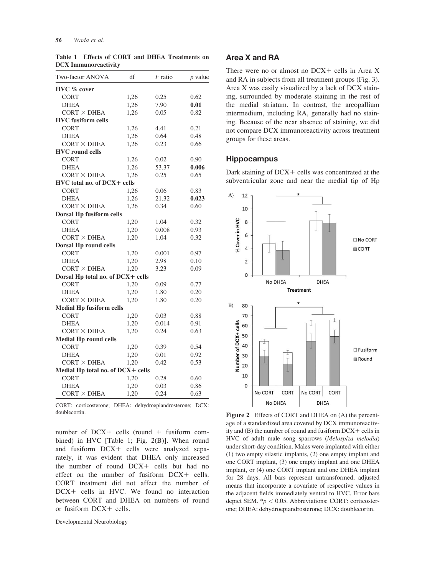| Two-factor ANOVA                  | df   | $F$ ratio | $p$ value |
|-----------------------------------|------|-----------|-----------|
| HVC % cover                       |      |           |           |
| <b>CORT</b>                       | 1,26 | 0.25      | 0.62      |
| <b>DHEA</b>                       | 1,26 | 7.90      | 0.01      |
| $CORT \times DHEA$                | 1,26 | 0.05      | 0.82      |
| <b>HVC</b> fusiform cells         |      |           |           |
| <b>CORT</b>                       | 1,26 | 4.41      | 0.21      |
| <b>DHEA</b>                       | 1,26 | 0.64      | 0.48      |
| $CORT \times DHEA$                | 1,26 | 0.23      | 0.66      |
| <b>HVC</b> round cells            |      |           |           |
| <b>CORT</b>                       | 1,26 | 0.02      | 0.90      |
| <b>DHEA</b>                       | 1,26 | 53.37     | 0.006     |
| $CORT \times DHEA$                | 1,26 | 0.25      | 0.65      |
| HVC total no. of DCX+ cells       |      |           |           |
| <b>CORT</b>                       | 1,26 | 0.06      | 0.83      |
| <b>DHEA</b>                       | 1,26 | 21.32     | 0.023     |
| $CORT \times DHEA$                | 1,26 | 0.34      | 0.60      |
| <b>Dorsal Hp fusiform cells</b>   |      |           |           |
| <b>CORT</b>                       | 1,20 | 1.04      | 0.32      |
| <b>DHEA</b>                       | 1,20 | 0.008     | 0.93      |
| $CORT \times DHEA$                | 1,20 | 1.04      | 0.32      |
| Dorsal Hp round cells             |      |           |           |
| <b>CORT</b>                       | 1,20 | 0.001     | 0.97      |
| <b>DHEA</b>                       | 1,20 | 2.98      | 0.10      |
| $CORT \times DHEA$                | 1,20 | 3.23      | 0.09      |
| Dorsal Hp total no. of DCX+ cells |      |           |           |
| <b>CORT</b>                       | 1,20 | 0.09      | 0.77      |
| <b>DHEA</b>                       | 1,20 | 1.80      | 0.20      |
| $CORT \times DHEA$                | 1,20 | 1.80      | 0.20      |
| <b>Medial Hp fusiform cells</b>   |      |           |           |
| <b>CORT</b>                       | 1,20 | 0.03      | 0.88      |
| <b>DHEA</b>                       | 1,20 | 0.014     | 0.91      |
| $CORT \times DHEA$                | 1,20 | 0.24      | 0.63      |
| <b>Medial Hp round cells</b>      |      |           |           |
| <b>CORT</b>                       | 1,20 | 0.39      | 0.54      |
| <b>DHEA</b>                       | 1,20 | 0.01      | 0.92      |
| $CORT \times DHEA$                | 1,20 | 0.42      | 0.53      |
| Medial Hp total no. of DCX+ cells |      |           |           |
| <b>CORT</b>                       | 1,20 | 0.28      | 0.60      |
| <b>DHEA</b>                       | 1,20 | 0.03      | 0.86      |
| $CORT \times DHEA$                | 1,20 | 0.24      | 0.63      |

Table 1 Effects of CORT and DHEA Treatments on DCX Immunoreactivity

CORT: corticosterone; DHEA: dehydroepiandrosterone; DCX: doublecortin.<br>
Figure 2 Effects of CORT and DHEA on (A) the percent-

number of  $DCX +$  cells (round  $+$  fusiform combined) in HVC [Table 1; Fig. 2(B)]. When round and fusiform  $DCX +$  cells were analyzed separately, it was evident that DHEA only increased the number of round  $DCX +$  cells but had no effect on the number of fusiform  $DCX +$  cells. CORT treatment did not affect the number of  $DCX +$  cells in HVC. We found no interaction between CORT and DHEA on numbers of round or fusiform  $DCX +$  cells.

#### Area X and RA

There were no or almost no  $DCX +$  cells in Area X and RA in subjects from all treatment groups (Fig. 3). Area X was easily visualized by a lack of DCX staining, surrounded by moderate staining in the rest of the medial striatum. In contrast, the arcopallium intermedium, including RA, generally had no staining. Because of the near absence of staining, we did not compare DCX immunoreactivity across treatment groups for these areas.

#### **Hippocampus**

Dark staining of  $DCX +$  cells was concentrated at the subventricular zone and near the medial tip of Hp



age of a standardized area covered by DCX immunoreactivity and  $(B)$  the number of round and fusiform  $DCX +$  cells in HVC of adult male song sparrows (Melospiza melodia) under short-day condition. Males were implanted with either (1) two empty silastic implants, (2) one empty implant and one CORT implant, (3) one empty implant and one DHEA implant, or (4) one CORT implant and one DHEA implant for 28 days. All bars represent untransformed, adjusted means that incorporate a covariate of respective values in the adjacent fields immediately ventral to HVC. Error bars depict SEM.  $* p < 0.05$ . Abbreviations: CORT: corticosterone; DHEA: dehydroepiandrosterone; DCX: doublecortin.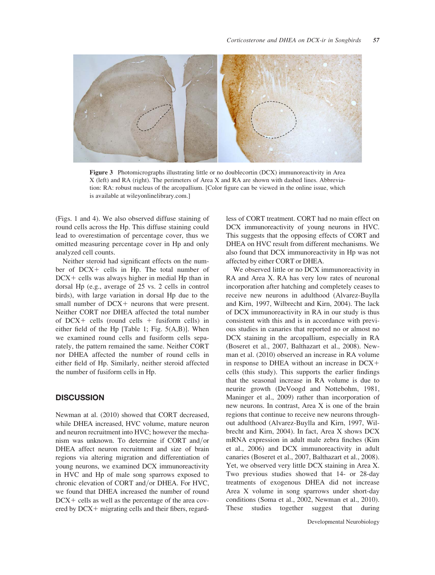

Figure 3 Photomicrographs illustrating little or no doublecortin (DCX) immunoreactivity in Area X (left) and RA (right). The perimeters of Area X and RA are shown with dashed lines. Abbreviation: RA: robust nucleus of the arcopallium. [Color figure can be viewed in the online issue, which is available at wileyonlinelibrary.com.]

(Figs. 1 and 4). We also observed diffuse staining of round cells across the Hp. This diffuse staining could lead to overestimation of percentage cover, thus we omitted measuring percentage cover in Hp and only analyzed cell counts.

Neither steroid had significant effects on the number of DCX+ cells in Hp. The total number of  $DCX +$  cells was always higher in medial Hp than in dorsal Hp (e.g., average of 25 vs. 2 cells in control birds), with large variation in dorsal Hp due to the small number of  $DCX +$  neurons that were present. Neither CORT nor DHEA affected the total number of DCX+ cells (round cells + fusiform cells) in either field of the Hp [Table 1; Fig. 5(A,B)]. When we examined round cells and fusiform cells separately, the pattern remained the same. Neither CORT nor DHEA affected the number of round cells in either field of Hp. Similarly, neither steroid affected the number of fusiform cells in Hp.

## **DISCUSSION**

Newman at al. (2010) showed that CORT decreased, while DHEA increased, HVC volume, mature neuron and neuron recruitment into HVC; however the mechanism was unknown. To determine if CORT and/or DHEA affect neuron recruitment and size of brain regions via altering migration and differentiation of young neurons, we examined DCX immunoreactivity in HVC and Hp of male song sparrows exposed to chronic elevation of CORT and/or DHEA. For HVC, we found that DHEA increased the number of round  $DCX +$  cells as well as the percentage of the area covered by  $DCX +$  migrating cells and their fibers, regard-

less of CORT treatment. CORT had no main effect on DCX immunoreactivity of young neurons in HVC. This suggests that the opposing effects of CORT and DHEA on HVC result from different mechanisms. We also found that DCX immunoreactivity in Hp was not affected by either CORT or DHEA.

We observed little or no DCX immunoreactivity in RA and Area X. RA has very low rates of neuronal incorporation after hatching and completely ceases to receive new neurons in adulthood (Alvarez-Buylla and Kirn, 1997, Wilbrecht and Kirn, 2004). The lack of DCX immunoreactivity in RA in our study is thus consistent with this and is in accordance with previous studies in canaries that reported no or almost no DCX staining in the arcopallium, especially in RA (Boseret et al., 2007, Balthazart et al., 2008). Newman et al. (2010) observed an increase in RA volume in response to DHEA without an increase in  $DCX+$ cells (this study). This supports the earlier findings that the seasonal increase in RA volume is due to neurite growth (DeVoogd and Nottebohm, 1981, Maninger et al., 2009) rather than incorporation of new neurons. In contrast, Area X is one of the brain regions that continue to receive new neurons throughout adulthood (Alvarez-Buylla and Kirn, 1997, Wilbrecht and Kirn, 2004). In fact, Area X shows DCX mRNA expression in adult male zebra finches (Kim et al., 2006) and DCX immunoreactivity in adult canaries (Boseret et al., 2007, Balthazart et al., 2008). Yet, we observed very little DCX staining in Area X. Two previous studies showed that 14- or 28-day treatments of exogenous DHEA did not increase Area X volume in song sparrows under short-day conditions (Soma et al., 2002, Newman et al., 2010). These studies together suggest that during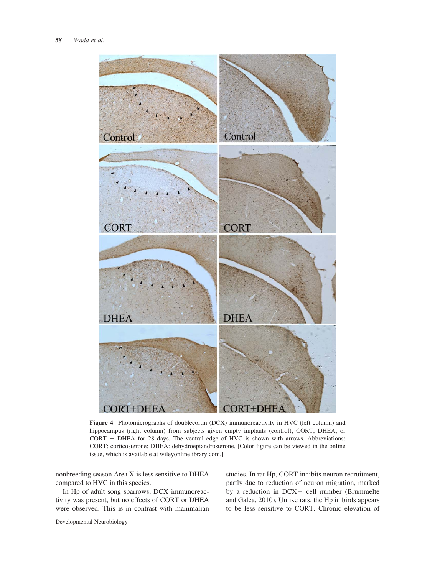

Figure 4 Photomicrographs of doublecortin (DCX) immunoreactivity in HVC (left column) and hippocampus (right column) from subjects given empty implants (control), CORT, DHEA, or  $CORT + DHEA$  for 28 days. The ventral edge of HVC is shown with arrows. Abbreviations: CORT: corticosterone; DHEA: dehydroepiandrosterone. [Color figure can be viewed in the online issue, which is available at wileyonlinelibrary.com.]

nonbreeding season Area X is less sensitive to DHEA compared to HVC in this species.

In Hp of adult song sparrows, DCX immunoreactivity was present, but no effects of CORT or DHEA were observed. This is in contrast with mammalian studies. In rat Hp, CORT inhibits neuron recruitment, partly due to reduction of neuron migration, marked by a reduction in  $DCX +$  cell number (Brummelte and Galea, 2010). Unlike rats, the Hp in birds appears to be less sensitive to CORT. Chronic elevation of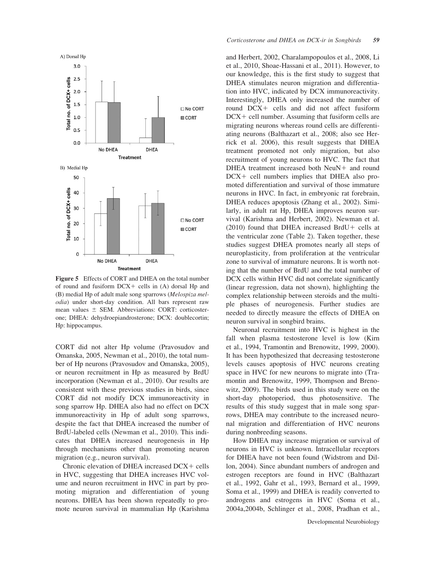

Figure 5 Effects of CORT and DHEA on the total number of round and fusiform  $DCX +$  cells in  $(A)$  dorsal Hp and (B) medial Hp of adult male song sparrows (Melospiza melodia) under short-day condition. All bars represent raw mean values  $\pm$  SEM. Abbreviations: CORT: corticosterone; DHEA: dehydroepiandrosterone; DCX: doublecortin; Hp: hippocampus.

CORT did not alter Hp volume (Pravosudov and Omanska, 2005, Newman et al., 2010), the total number of Hp neurons (Pravosudov and Omanska, 2005), or neuron recruitment in Hp as measured by BrdU incorporation (Newman et al., 2010). Our results are consistent with these previous studies in birds, since CORT did not modify DCX immunoreactivity in song sparrow Hp. DHEA also had no effect on DCX immunoreactivity in Hp of adult song sparrows, despite the fact that DHEA increased the number of BrdU-labeled cells (Newman et al., 2010). This indicates that DHEA increased neurogenesis in Hp through mechanisms other than promoting neuron migration (e.g., neuron survival).

Chronic elevation of DHEA increased  $DCX +$  cells in HVC, suggesting that DHEA increases HVC volume and neuron recruitment in HVC in part by promoting migration and differentiation of young neurons. DHEA has been shown repeatedly to promote neuron survival in mammalian Hp (Karishma and Herbert, 2002, Charalampopoulos et al., 2008, Li et al., 2010, Shoae-Hassani et al., 2011). However, to our knowledge, this is the first study to suggest that DHEA stimulates neuron migration and differentiation into HVC, indicated by DCX immunoreactivity. Interestingly, DHEA only increased the number of round DCX+ cells and did not affect fusiform  $DCX + cell$  number. Assuming that fusiform cells are migrating neurons whereas round cells are differentiating neurons (Balthazart et al., 2008; also see Herrick et al. 2006), this result suggests that DHEA treatment promoted not only migration, but also recruitment of young neurons to HVC. The fact that  $DHEA$  treatment increased both  $NeuN+$  and round  $DCX +$  cell numbers implies that DHEA also promoted differentiation and survival of those immature neurons in HVC. In fact, in embryonic rat forebrain, DHEA reduces apoptosis (Zhang et al., 2002). Similarly, in adult rat Hp, DHEA improves neuron survival (Karishma and Herbert, 2002). Newman et al.  $(2010)$  found that DHEA increased BrdU+ cells at the ventricular zone (Table 2). Taken together, these studies suggest DHEA promotes nearly all steps of neuroplasticity, from proliferation at the ventricular zone to survival of immature neurons. It is worth noting that the number of BrdU and the total number of DCX cells within HVC did not correlate significantly (linear regression, data not shown), highlighting the complex relationship between steroids and the multiple phases of neurogenesis. Further studies are needed to directly measure the effects of DHEA on neuron survival in songbird brains.

Neuronal recruitment into HVC is highest in the fall when plasma testosterone level is low (Kirn et al., 1994, Tramontin and Brenowitz, 1999, 2000). It has been hypothesized that decreasing testosterone levels causes apoptosis of HVC neurons creating space in HVC for new neurons to migrate into (Tramontin and Brenowitz, 1999, Thompson and Brenowitz, 2009). The birds used in this study were on the short-day photoperiod, thus photosensitive. The results of this study suggest that in male song sparrows, DHEA may contribute to the increased neuronal migration and differentiation of HVC neurons during nonbreeding seasons.

How DHEA may increase migration or survival of neurons in HVC is unknown. Intracellular receptors for DHEA have not been found (Widstrom and Dillon, 2004). Since abundant numbers of androgen and estrogen receptors are found in HVC (Balthazart et al., 1992, Gahr et al., 1993, Bernard et al., 1999, Soma et al., 1999) and DHEA is readily converted to androgens and estrogens in HVC (Soma et al., 2004a,2004b, Schlinger et al., 2008, Pradhan et al.,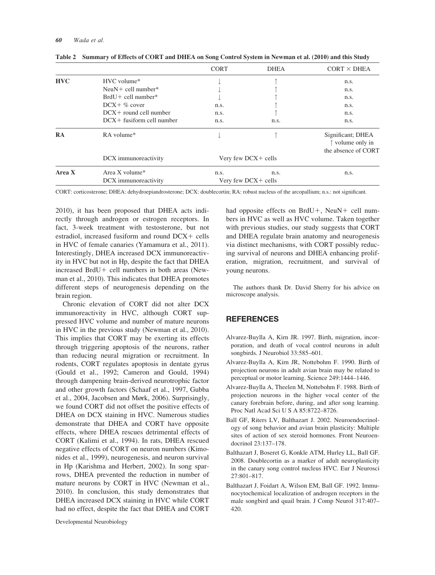|            |                                    | <b>CORT</b>            | <b>DHEA</b> | $CORT \times DHEA$                                                    |
|------------|------------------------------------|------------------------|-------------|-----------------------------------------------------------------------|
| <b>HVC</b> | HVC volume*                        |                        |             | n.s.                                                                  |
|            | Neu $N$ + cell number <sup>*</sup> |                        |             | n.s.                                                                  |
|            | $BrdU + cell number*$              |                        |             | n.s.                                                                  |
|            | $DCX + \%$ cover                   | n.s.                   |             | n.s.                                                                  |
|            | $DCX +$ round cell number          | n.s.                   |             | n.s.                                                                  |
|            | $DCX +$ fusiform cell number       | n.s.                   | n.s.        | n.s.                                                                  |
| RA         | RA volume*                         |                        |             | Significant; DHEA<br>$\uparrow$ volume only in<br>the absence of CORT |
|            | DCX immunoreactivity               | Very few DCX+ cells    |             |                                                                       |
| Area X     | Area X volume*                     | n.s.                   | n.s.        | n.s.                                                                  |
|            | DCX immunoreactivity               | Very few $DCX +$ cells |             |                                                                       |

Table 2 Summary of Effects of CORT and DHEA on Song Control System in Newman et al. (2010) and this Study

CORT: corticosterone; DHEA: dehydroepiandrosterone; DCX: doublecortin; RA: robust nucleus of the arcopallium; n.s.: not significant.

2010), it has been proposed that DHEA acts indirectly through androgen or estrogen receptors. In fact, 3-week treatment with testosterone, but not estradiol, increased fusiform and round  $DCX +$  cells in HVC of female canaries (Yamamura et al., 2011). Interestingly, DHEA increased DCX immunoreactivity in HVC but not in Hp, despite the fact that DHEA increased  $BrdU+$  cell numbers in both areas (Newman et al., 2010). This indicates that DHEA promotes different steps of neurogenesis depending on the brain region.

Chronic elevation of CORT did not alter DCX immunoreactivity in HVC, although CORT suppressed HVC volume and number of mature neurons in HVC in the previous study (Newman et al., 2010). This implies that CORT may be exerting its effects through triggering apoptosis of the neurons, rather than reducing neural migration or recruitment. In rodents, CORT regulates apoptosis in dentate gyrus (Gould et al., 1992; Cameron and Gould, 1994) through dampening brain-derived neurotrophic factor and other growth factors (Schaaf et al., 1997, Gubba et al., 2004, Jacobsen and Mørk, 2006). Surprisingly, we found CORT did not offset the positive effects of DHEA on DCX staining in HVC. Numerous studies demonstrate that DHEA and CORT have opposite effects, where DHEA rescues detrimental effects of CORT (Kalimi et al., 1994). In rats, DHEA rescued negative effects of CORT on neuron numbers (Kimonides et al., 1999), neurogenesis, and neuron survival in Hp (Karishma and Herbert, 2002). In song sparrows, DHEA prevented the reduction in number of mature neurons by CORT in HVC (Newman et al., 2010). In conclusion, this study demonstrates that DHEA increased DCX staining in HVC while CORT had no effect, despite the fact that DHEA and CORT

Developmental Neurobiology

had opposite effects on BrdU+, NeuN+ cell numbers in HVC as well as HVC volume. Taken together with previous studies, our study suggests that CORT and DHEA regulate brain anatomy and neurogenesis via distinct mechanisms, with CORT possibly reducing survival of neurons and DHEA enhancing proliferation, migration, recruitment, and survival of young neurons.

The authors thank Dr. David Sherry for his advice on microscope analysis.

#### REFERENCES

- Alvarez-Buylla A, Kirn JR. 1997. Birth, migration, incorporation, and death of vocal control neurons in adult songbirds. J Neurobiol 33:585–601.
- Alvarez-Buylla A, Kirn JR, Nottebohm F. 1990. Birth of projection neurons in adult avian brain may be related to perceptual or motor learning. Science 249:1444–1446.
- Alvarez-Buylla A, Theelen M, Nottebohm F. 1988. Birth of projection neurons in the higher vocal center of the canary forebrain before, during, and after song learning. Proc Natl Acad Sci U S A 85:8722–8726.
- Ball GF, Riters LV, Balthazart J. 2002. Neuroendocrinology of song behavior and avian brain plasticity: Multiple sites of action of sex steroid hormones. Front Neuroendocrinol 23:137–178.
- Balthazart J, Boseret G, Konkle ATM, Hurley LL, Ball GF. 2008. Doublecortin as a marker of adult neuroplasticity in the canary song control nucleus HVC. Eur J Neurosci 27:801–817.
- Balthazart J, Foidart A, Wilson EM, Ball GF. 1992. Immunocytochemical localization of androgen receptors in the male songbird and quail brain. J Comp Neurol 317:407– 420.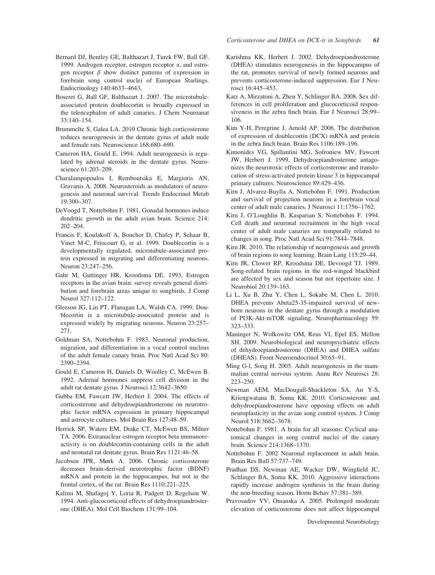- Bernard DJ, Bentley GE, Balthazart J, Turek FW, Ball GF. 1999. Androgen receptor, estrogen receptor  $\alpha$ , and estrogen receptor  $\beta$  show distinct patterns of expression in forebrain song control nuclei of European Starlings. Endocrinology 140:4633–4643.
- Boseret G, Ball GF, Balthazart J. 2007. The microtubuleassociated protein doublecortin is broadly expressed in the telencephalon of adult canaries. J Chem Neuroanat 33:140–154.
- Brummelte S, Galea LA. 2010 Chronic high corticosterone reduces neurogenesis in the dentate gyrus of adult male and female rats. Neuroscience 168:680–690.
- Cameron HA, Gould E. 1994. Adult neurogenesis is regulated by adrenal steroids in the dentate gyrus. Neuroscience 61:203–209.
- Charalampopoulos I, Remboutsika E, Margioris AN, Gravanis A. 2008. Neurosteroids as modulators of neurogenesis and neuronal survival. Trends Endocrinol Metab 19:300–307.
- DeVoogd T, Nottebohm F. 1981. Gonadal hormones induce dendritic growth in the adult avian brain. Science 214: 202–204.
- Francis F, Koulakoff A, Boucher D, Chafey P, Schaar B, Vinet M-C, Friocourt G, et al. 1999. Doublecortin is a developmentally regulated, microtubule-associated protein expressed in migrating and differentiating neurons. Neuron 23:247–256.
- Gahr M, Guttinger HR, Kroodsma DE. 1993. Estrogen receptors in the avian brain: survey reveals general distribution and forebrain areas unique to songbirds. J Comp Neurol 327:112–122.
- Gleeson JG, Lin PT, Flanagan LA, Walsh CA. 1999. Doublecortin is a microtubule-associated protein and is expressed widely by migrating neurons. Neuron 23:257– 271.
- Goldman SA, Nottebohm F. 1983. Neuronal production, migration, and differentiation in a vocal control nucleus of the adult female canary brain. Proc Natl Acad Sci 80: 2390–2394.
- Gould E, Cameron H, Daniels D, Woolley C, McEwen B. 1992. Adrenal hormones suppress cell division in the adult rat dentate gyrus. J Neurosci 12:3642–3650.
- Gubba EM, Fawcett JW, Herbert J. 2004. The effects of corticosterone and dehydroepiandrosterone on neurotrophic factor mRNA expression in primary hippocampal and astrocyte cultures. Mol Brain Res 127:48–59.
- Herrick SP, Waters EM, Drake CT, McEwen BS, Milner TA. 2006. Extranuclear estrogen receptor beta immunoreactivity is on doublecortin-containing cells in the adult and neonatal rat dentate gyrus. Brain Res 1121:46–58.
- Jacobsen JPR, Mørk A. 2006. Chronic corticosterone decreases brain-derived neurotrophic factor (BDNF) mRNA and protein in the hippocampus, but not in the frontal cortex, of the rat. Brain Res 1110:221–225.
- Kalimi M, Shafagoj Y, Loria R, Padgett D, Regelson W. 1994. Anti-glucocorticoid effects of dehydroepiandrosterone (DHEA). Mol Cell Biochem 131:99–104.
- Karishma KK, Herbert J. 2002. Dehydroepiandrosterone (DHEA) stimulates neurogenesis in the hippocampus of the rat, promotes survival of newly formed neurons and prevents corticosterone-induced suppression. Eur J Neurosci 16:445–453.
- Katz A, Mirzatoni A, Zhen Y, Schlinger BA. 2008. Sex differences in cell proliferation and glucocorticoid responsiveness in the zebra finch brain. Eur J Neurosci 28:99– 106.
- Kim Y-H, Peregrine J, Arnold AP. 2006. The distribution of expression of doublecortin (DCX) mRNA and protein in the zebra finch brain. Brain Res 1106:189–196.
- Kimonides VG, Spillantini MG, Sofroniew MV, Fawcett JW, Herbert J. 1999. Dehydroepiandrosterone antagonizes the neurotoxic effects of corticosterone and translocation of stress-activated protein kinase 3 in hippocampal primary cultures. Neuroscience 89:429–436.
- Kirn J, Alvarez-Buylla A, Nottebohm F. 1991. Production and survival of projection neurons in a forebrain vocal center of adult male canaries. J Neurosci 11:1756–1762.
- Kirn J, O'Loughlin B, Kasparian S, Nottebohm F. 1994. Cell death and neuronal recruitment in the high vocal center of adult male canaries are temporally related to changes in song. Proc Natl Acad Sci 91:7844–7848.
- Kirn JR. 2010. The relationship of neurogenesis and growth of brain regions to song learning. Brain Lang 115:29–44.
- Kirn JR, Clower RP, Kroodsma DE, Devoogd TJ. 1989. Song-related brain regions in the red-winged blackbird are affected by sex and season but not repertoire size. J Neurobiol 20:139–163.
- Li L, Xu B, Zhu Y, Chen L, Sokabe M, Chen L. 2010. DHEA prevents Abeta25-35-impaired survival of newborn neurons in the dentate gyrus through a modulation of PI3K-Akt-mTOR signaling. Neuropharmacology 59: 323–333.
- Maninger N, Wolkowitz OM, Reus VI, Epel ES, Mellon SH. 2009. Neurobiological and neuropsychiatric effects of dehydroepiandrosterone (DHEA) and DHEA sulfate (DHEAS). Front Neuroendocrinol 30:65–91.
- Ming G-l, Song H. 2005. Adult neurogenesis in the mammalian central nervous system. Annu Rev Neurosci 28: 223–250.
- Newman AEM, MacDougall-Shackleton SA, An Y-S, Kriengwatana B, Soma KK. 2010. Corticosterone and dehydroepiandrosterone have opposing effects on adult neuroplasticity in the avian song control system. J Comp Neurol 518:3662–3678.
- Nottebohm F. 1981. A brain for all seasons: Cyclical anatomical changes in song control nuclei of the canary brain. Science 214:1368–1370.
- Nottebohm F. 2002 Neuronal replacement in adult brain. Brain Res Bull 57:737–749.
- Pradhan DS, Newman AE, Wacker DW, Wingfield JC, Schlinger BA, Soma KK. 2010. Aggressive interactions rapidly increase androgen synthesis in the brain during the non-breeding season. Horm Behav 57:381–389.
- Pravosudov VV, Omanska A. 2005. Prolonged moderate elevation of corticosterone does not affect hippocampal